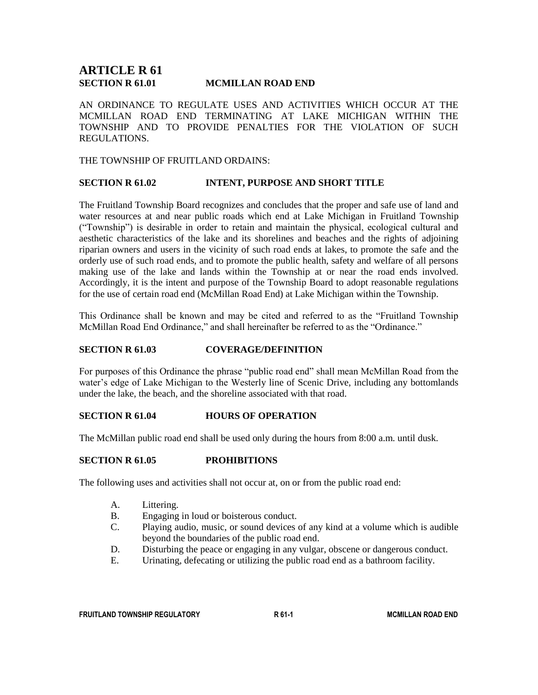# **ARTICLE R 61 SECTION R 61.01 MCMILLAN ROAD END**

AN ORDINANCE TO REGULATE USES AND ACTIVITIES WHICH OCCUR AT THE MCMILLAN ROAD END TERMINATING AT LAKE MICHIGAN WITHIN THE TOWNSHIP AND TO PROVIDE PENALTIES FOR THE VIOLATION OF SUCH REGULATIONS.

THE TOWNSHIP OF FRUITLAND ORDAINS:

#### **SECTION R 61.02 INTENT, PURPOSE AND SHORT TITLE**

The Fruitland Township Board recognizes and concludes that the proper and safe use of land and water resources at and near public roads which end at Lake Michigan in Fruitland Township ("Township") is desirable in order to retain and maintain the physical, ecological cultural and aesthetic characteristics of the lake and its shorelines and beaches and the rights of adjoining riparian owners and users in the vicinity of such road ends at lakes, to promote the safe and the orderly use of such road ends, and to promote the public health, safety and welfare of all persons making use of the lake and lands within the Township at or near the road ends involved. Accordingly, it is the intent and purpose of the Township Board to adopt reasonable regulations for the use of certain road end (McMillan Road End) at Lake Michigan within the Township.

This Ordinance shall be known and may be cited and referred to as the "Fruitland Township McMillan Road End Ordinance," and shall hereinafter be referred to as the "Ordinance."

#### **SECTION R 61.03 COVERAGE/DEFINITION**

For purposes of this Ordinance the phrase "public road end" shall mean McMillan Road from the water's edge of Lake Michigan to the Westerly line of Scenic Drive, including any bottomlands under the lake, the beach, and the shoreline associated with that road.

#### **SECTION R 61.04 HOURS OF OPERATION**

The McMillan public road end shall be used only during the hours from 8:00 a.m. until dusk.

#### **SECTION R 61.05 PROHIBITIONS**

The following uses and activities shall not occur at, on or from the public road end:

- A. Littering.
- B. Engaging in loud or boisterous conduct.
- C. Playing audio, music, or sound devices of any kind at a volume which is audible beyond the boundaries of the public road end.
- D. Disturbing the peace or engaging in any vulgar, obscene or dangerous conduct.
- E. Urinating, defecating or utilizing the public road end as a bathroom facility.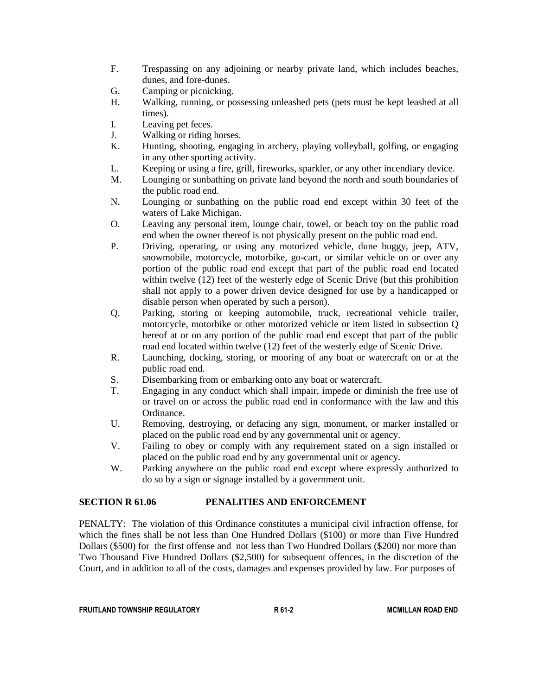- F. Trespassing on any adjoining or nearby private land, which includes beaches, dunes, and fore-dunes.
- G. Camping or picnicking.
- H. Walking, running, or possessing unleashed pets (pets must be kept leashed at all times).
- I. Leaving pet feces.
- J. Walking or riding horses.
- K. Hunting, shooting, engaging in archery, playing volleyball, golfing, or engaging in any other sporting activity.
- L. Keeping or using a fire, grill, fireworks, sparkler, or any other incendiary device.
- M. Lounging or sunbathing on private land beyond the north and south boundaries of the public road end.
- N. Lounging or sunbathing on the public road end except within 30 feet of the waters of Lake Michigan.
- O. Leaving any personal item, lounge chair, towel, or beach toy on the public road end when the owner thereof is not physically present on the public road end.
- P. Driving, operating, or using any motorized vehicle, dune buggy, jeep, ATV, snowmobile, motorcycle, motorbike, go-cart, or similar vehicle on or over any portion of the public road end except that part of the public road end located within twelve (12) feet of the westerly edge of Scenic Drive (but this prohibition shall not apply to a power driven device designed for use by a handicapped or disable person when operated by such a person).
- Q. Parking, storing or keeping automobile, truck, recreational vehicle trailer, motorcycle, motorbike or other motorized vehicle or item listed in subsection Q hereof at or on any portion of the public road end except that part of the public road end located within twelve (12) feet of the westerly edge of Scenic Drive.
- R. Launching, docking, storing, or mooring of any boat or watercraft on or at the public road end.
- S. Disembarking from or embarking onto any boat or watercraft.
- T. Engaging in any conduct which shall impair, impede or diminish the free use of or travel on or across the public road end in conformance with the law and this Ordinance.
- U. Removing, destroying, or defacing any sign, monument, or marker installed or placed on the public road end by any governmental unit or agency.
- V. Failing to obey or comply with any requirement stated on a sign installed or placed on the public road end by any governmental unit or agency.
- W. Parking anywhere on the public road end except where expressly authorized to do so by a sign or signage installed by a government unit.

# **SECTION R 61.06 PENALITIES AND ENFORCEMENT**

PENALTY: The violation of this Ordinance constitutes a municipal civil infraction offense, for which the fines shall be not less than One Hundred Dollars (\$100) or more than Five Hundred Dollars (\$500) for the first offense and not less than Two Hundred Dollars (\$200) nor more than Two Thousand Five Hundred Dollars (\$2,500) for subsequent offences, in the discretion of the Court, and in addition to all of the costs, damages and expenses provided by law. For purposes of